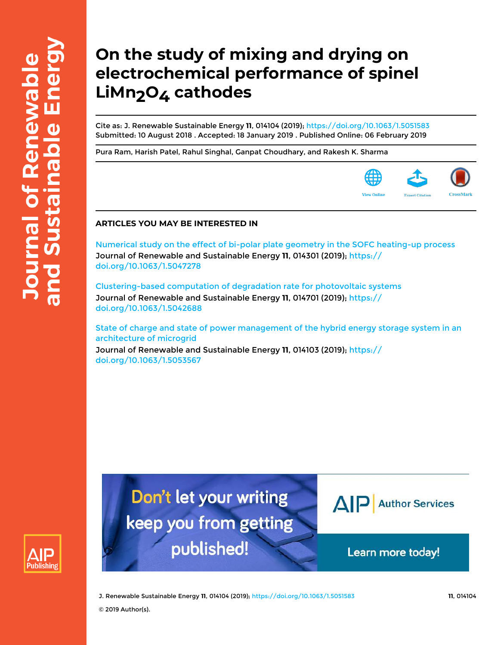# **On the study of mixing and drying on electrochemical performance of spinel** LiMn<sub>2</sub>O<sub>4</sub> cathodes

Cite as: J. Renewable Sustainable Energy **11**, 014104 (2019); https://doi.org/10.1063/1.5051583 Submitted: 10 August 2018 . Accepted: 18 January 2019 . Published Online: 06 February 2019

Pura Ram, Harish Patel, Rahul Singhal, Ganpat Choudhary, and Rakesh K. Sharma



## **ARTICLES YOU MAY BE INTERESTED IN**

Numerical study on the effect of bi-polar plate geometry in the SOFC heating-up process Journal of Renewable and Sustainable Energy **11**, 014301 (2019); https:// doi.org/10.1063/1.5047278

Clustering-based computation of degradation rate for photovoltaic systems Journal of Renewable and Sustainable Energy **11**, 014701 (2019); https:// doi.org/10.1063/1.5042688

State of charge and state of power management of the hybrid energy storage system in an architecture of microgrid

Journal of Renewable and Sustainable Energy **11**, 014103 (2019); https:// doi.org/10.1063/1.5053567



Don't let your writing keep you from getting published!



Learn more today!

J. Renewable Sustainable Energy **11**, 014104 (2019); https://doi.org/10.1063/1.5051583 **11**, 014104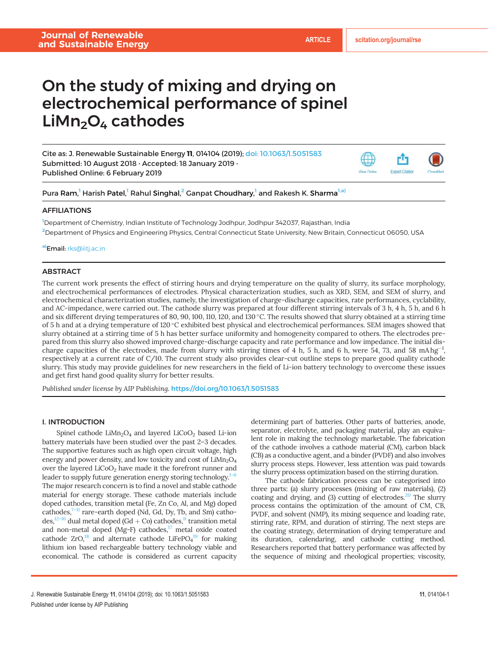## On the study of mixing and drying on electrochemical performance of spinel  $Lim<sub>2</sub>O<sub>4</sub>$  cathodes

Cite as: J. Renewable Sustainable Energy 11, 014104 (2019); doi: 10.1063/1.5051583 Submitted: 10 August 2018 . Accepted: 18 January 2019 . Published Online: 6 February 2019



Pura Ram,<sup>1</sup> Harish Patel,<sup>1</sup> Rahul Singhal,<sup>2</sup> Ganpat Choudhary,<sup>1</sup> and Rakesh K. Sharma<sup>1,a)</sup>

## AFFILIATIONS

<sup>1</sup>Department of Chemistry, Indian Institute of Technology Jodhpur, Jodhpur 342037, Rajasthan, India <sup>2</sup>Department of Physics and Engineering Physics, Central Connecticut State University, New Britain, Connecticut 06050, USA

a)Email: rks@iitj.ac.in

## ABSTRACT

The current work presents the effect of stirring hours and drying temperature on the quality of slurry, its surface morphology, and electrochemical performances of electrodes. Physical characterization studies, such as XRD, SEM, and SEM of slurry, and electrochemical characterization studies, namely, the investigation of charge-discharge capacities, rate performances, cyclability, and AC-impedance, were carried out. The cathode slurry was prepared at four different stirring intervals of 3 h, 4 h, 5 h, and 6 h and six different drying temperatures of 80, 90, 100, 110, 120, and 130 °C. The results showed that slurry obtained at a stirring time of 5 h and at a drying temperature of 120 °C exhibited best physical and electrochemical performances. SEM images showed that slurry obtained at a stirring time of 5 h has better surface uniformity and homogeneity compared to others. The electrodes prepared from this slurry also showed improved charge-discharge capacity and rate performance and low impedance. The initial discharge capacities of the electrodes, made from slurry with stirring times of 4 h, 5 h, and 6 h, were 54, 73, and 58 mA hg<sup>-1</sup>, respectively at a current rate of C/10. The current study also provides clear-cut outline steps to prepare good quality cathode slurry. This study may provide guidelines for new researchers in the field of Li-ion battery technology to overcome these issues and get first hand good quality slurry for better results.

Published under license by AIP Publishing. https://doi.org/10.1063/1.5051583

## I. INTRODUCTION

Spinel cathode  $LiMn<sub>2</sub>O<sub>4</sub>$  and layered  $LiCoO<sub>2</sub>$  based Li-ion battery materials have been studied over the past 2–3 decades. The supportive features such as high open circuit voltage, high energy and power density, and low toxicity and cost of  $LiMn<sub>2</sub>O<sub>4</sub>$ over the layered  $LiCoO<sub>2</sub>$  have made it the forefront runner and leader to supply future generation energy storing technology. $1-6$ The major research concern is to find a novel and stable cathode material for energy storage. These cathode materials include doped cathodes, transition metal (Fe, Zn Co, Al, and Mg) doped cathodes, $7-11$  rare-earth doped (Nd, Gd, Dy, Tb, and Sm) cathodes,<sup>12–16</sup> dual metal doped (Gd + Co) cathodes,<sup>11</sup> transition metal and non-metal doped (Mg-F) cathodes,<sup>17</sup> metal oxide coated cathode  $ZrO<sub>18</sub><sup>18</sup>$  and alternate cathode LiFePO<sub>4</sub><sup>19</sup> for making lithium ion based rechargeable battery technology viable and economical. The cathode is considered as current capacity determining part of batteries. Other parts of batteries, anode, separator, electrolyte, and packaging material, play an equivalent role in making the technology marketable. The fabrication of the cathode involves a cathode material (CM), carbon black (CB) as a conductive agent, and a binder (PVDF) and also involves slurry process steps. However, less attention was paid towards the slurry process optimization based on the stirring duration.

The cathode fabrication process can be categorised into three parts: (a) slurry processes (mixing of raw materials), (2) coating and drying, and  $(3)$  cutting of electrodes.<sup>20</sup> The slurry process contains the optimization of the amount of CM, CB, PVDF, and solvent (NMP), its mixing sequence and loading rate, stirring rate, RPM, and duration of stirring. The next steps are the coating strategy, determination of drying temperature and its duration, calendaring, and cathode cutting method. Researchers reported that battery performance was affected by the sequence of mixing and rheological properties; viscosity,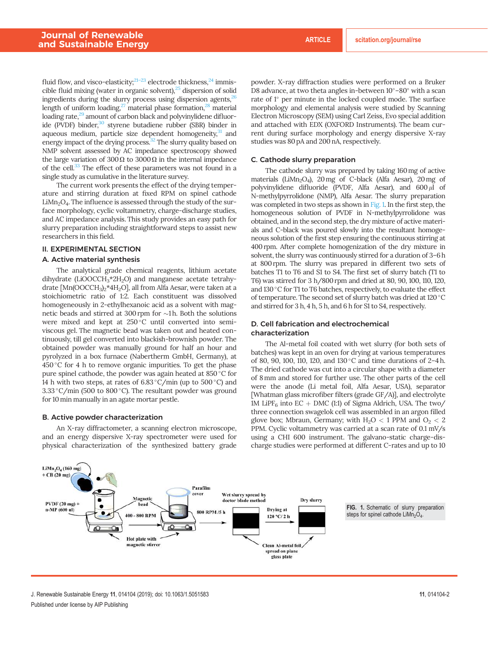fluid flow, and visco-elasticity; $21-23$  electrode thickness, $24$  immiscible fluid mixing (water in organic solvent), $25$  dispersion of solid ingredients during the slurry process using dispersion agents, $^{26}$ length of uniform loading, $27$  material phase formation, $28$  material loading rate,<sup>29</sup> amount of carbon black and polyvinylidene difluoride (PVDF) binder,<sup>30</sup> styrene butadiene rubber (SBR) binder in aqueous medium, particle size dependent homogeneity, $31$  and energy impact of the drying process.<sup>32</sup> The slurry quality based on NMP solvent assessed by AC impedance spectroscopy showed the large variation of 300 $\Omega$  to 3000 $\Omega$  in the internal impedance of the cell.<sup>33</sup> The effect of these parameters was not found in a single study as cumulative in the literature survey.

The current work presents the effect of the drying temperature and stirring duration at fixed RPM on spinel cathode  $LiMn<sub>2</sub>O<sub>4</sub>$ . The influence is assessed through the study of the surface morphology, cyclic voltammetry, charge-discharge studies, and AC impedance analysis. This study provides an easy path for slurry preparation including straightforward steps to assist new researchers in this field.

## II. EXPERIMENTAL SECTION

#### A. Active material synthesis

The analytical grade chemical reagents, lithium acetate dihydrate (LiOOCCH<sub>3</sub>\*2H<sub>2</sub>O) and manganese acetate tetrahydrate [Mn(OOCCH<sub>3</sub>)<sub>2</sub>\*4H<sub>2</sub>O], all from Alfa Aesar, were taken at a stoichiometric ratio of 1:2. Each constituent was dissolved homogeneously in 2-ethylhexanoic acid as a solvent with magnetic beads and stirred at 300 rpm for  $\sim$ 1 h. Both the solutions were mixed and kept at 250°C until converted into semiviscous gel. The magnetic bead was taken out and heated continuously, till gel converted into blackish-brownish powder. The obtained powder was manually ground for half an hour and pyrolyzed in a box furnace (Nabertherm GmbH, Germany), at 450 °C for 4 h to remove organic impurities. To get the phase pure spinel cathode, the powder was again heated at 850 °C for 14 h with two steps, at rates of  $6.83 \degree C/\text{min}$  (up to  $500 \degree C$ ) and 3.33 °C/min (500 to 800 °C). The resultant powder was ground for 10 min manually in an agate mortar pestle.

## B. Active powder characterization

An X-ray diffractometer, a scanning electron microscope, and an energy dispersive X-ray spectrometer were used for physical characterization of the synthesized battery grade powder. X-ray diffraction studies were performed on a Bruker D8 advance, at two theta angles in-between  $10^{\circ}$ -80 $^{\circ}$  with a scan rate of 1° per minute in the locked coupled mode. The surface morphology and elemental analysis were studied by Scanning Electron Microscopy (SEM) using Carl Zeiss, Evo special addition and attached with EDX (OXFORD Instruments). The beam current during surface morphology and energy dispersive X-ray studies was 80 pA and 200 nA, respectively.

#### C. Cathode slurry preparation

The cathode slurry was prepared by taking 160mg of active materials (LiMn<sub>2</sub>O<sub>4</sub>), 20 mg of C-black (Alfa Aesar), 20 mg of polyvinylidene difluoride (PVDF, Alfa Aesar), and  $600 \mu l$  of N-methylpyrrolidone (NMP), Alfa Aesar. The slurry preparation was completed in two steps as shown in Fig. 1. In the first step, the homogeneous solution of PVDF in N-methylpyrrolidone was obtained, and in the second step, the dry mixture of active materials and C-black was poured slowly into the resultant homogeneous solution of the first step ensuring the continuous stirring at 400 rpm. After complete homogenization of the dry mixture in solvent, the slurry was continuously stirred for a duration of 3–6 h at 800 rpm. The slurry was prepared in different two sets of batches T1 to T6 and S1 to S4. The first set of slurry batch (T1 to T6) was stirred for 3 h/800 rpm and dried at 80, 90, 100, 110, 120, and 130 °C for T1 to T6 batches, respectively, to evaluate the effect of temperature. The second set of slurry batch was dried at 120 °C and stirred for 3 h, 4 h, 5 h, and 6 h for S1 to S4, respectively.

## D. Cell fabrication and electrochemical characterization

The Al-metal foil coated with wet slurry (for both sets of batches) was kept in an oven for drying at various temperatures of 80, 90, 100, 110, 120, and 130 °C and time durations of 2-4 h. The dried cathode was cut into a circular shape with a diameter of 8 mm and stored for further use. The other parts of the cell were the anode (Li metal foil, Alfa Aesar, USA), separator [Whatman glass microfiber filters (grade GF/A)], and electrolyte 1M LiPF<sub>6</sub> into EC + DMC (1:1) of Sigma Aldrich, USA. The two/ three connection swagelok cell was assembled in an argon filled glove box; Mbraun, Germany; with  $H_2O < 1$  PPM and  $O_2 < 2$ PPM. Cyclic voltammetry was carried at a scan rate of 0.1 mV/s using a CHI 600 instrument. The galvano-static charge-discharge studies were performed at different C-rates and up to 10



FIG. 1. Schematic of slurry preparation steps for spinel cathode  $Lim<sub>2</sub>O<sub>4</sub>$ .

J. Renewable Sustainable Energy 11, 014104 (2019); doi: 10.1063/1.5051583 11, 1014104-2 Published under license by AIP Publishing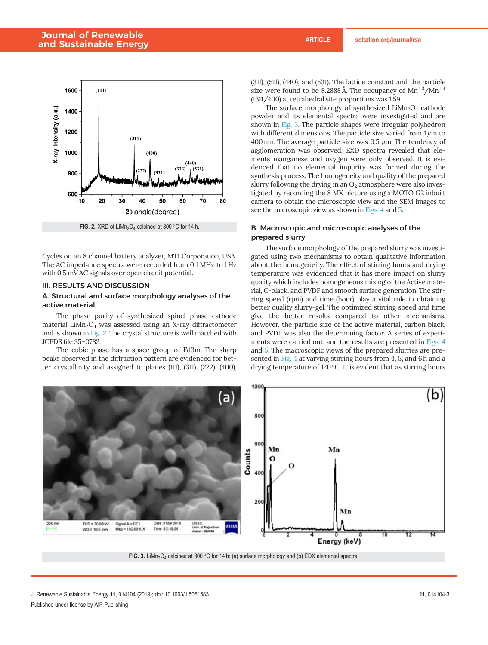## Journal of Renewable and Sustainable Energy **ARTICLE** scitation.org/journal/rse



Cycles on an 8 channel battery analyzer, MTI Corporation, USA. The AC impedance spectra were recorded from 0.1 MHz to 1 Hz with 0.5 mV AC signals over open circuit potential.

## III. RESULTS AND DISCUSSION

## A. Structural and surface morphology analyses of the active material

The phase purity of synthesized spinel phase cathode material LiMn<sub>2</sub>O<sub>4</sub> was assessed using an X-ray diffractometer and is shown in Fig. 2. The crystal structure is well matched with JCPDS file 35–0782.

The cubic phase has a space group of Fd3m. The sharp peaks observed in the diffraction pattern are evidenced for better crystallinity and assigned to planes (111), (311), (222), (400), (311), (511), (440), and (531). The lattice constant and the particle size were found to be 8.2888 Å. The occupancy of  $Mn^{+3}/Mn^{+4}$ (I311/400) at tetrahedral site proportions was 1.59.

The surface morphology of synthesized  $LiMn<sub>2</sub>O<sub>4</sub>$  cathode powder and its elemental spectra were investigated and are shown in Fig. 3. The particle shapes were irregular polyhedron with different dimensions. The particle size varied from  $1 \mu m$  to 400 nm. The average particle size was  $0.5 \mu$ m. The tendency of agglomeration was observed. EXD spectra revealed that elements manganese and oxygen were only observed. It is evidenced that no elemental impurity was formed during the synthesis process. The homogeneity and quality of the prepared slurry following the drying in an  $O<sub>2</sub>$  atmosphere were also investigated by recording the 8 MX picture using a MOTO G2 inbuilt camera to obtain the microscopic view and the SEM images to see the microscopic view as shown in Figs. 4 and 5.

## B. Macroscopic and microscopic analyses of the prepared slurry

The surface morphology of the prepared slurry was investigated using two mechanisms to obtain qualitative information about the homogeneity. The effect of stirring hours and drying temperature was evidenced that it has more impact on slurry quality which includes homogeneous mixing of the Active material, C-black, and PVDF and smooth surface generation. The stirring speed (rpm) and time (hour) play a vital role in obtaining better quality slurry-gel. The optimized stirring speed and time give the better results compared to other mechanisms. However, the particle size of the active material, carbon black, and PVDF was also the determining factor. A series of experiments were carried out, and the results are presented in Figs. 4 and 5. The macroscopic views of the prepared slurries are presented in Fig. 4 at varying stirring hours from 4, 5, and 6 h and a drying temperature of 120 °C. It is evident that as stirring hours



FIG. 3. LiMn<sub>2</sub>O<sub>4</sub> calcined at 800 °C for 14 h: (a) surface morphology and (b) EDX elemental spectra.

J. Renewable Sustainable Energy 11, 014104 (2019); doi: 10.1063/1.5051583 11, 01404-3 Published under license by AIP Publishing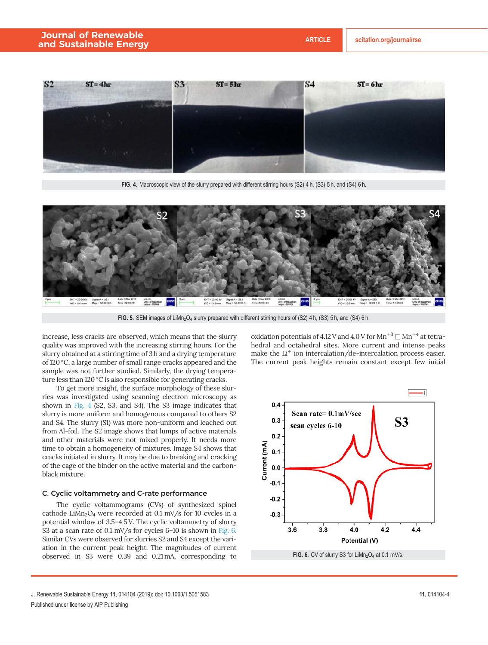

FIG. 4. Macroscopic view of the slurry prepared with different stirring hours (S2) 4 h, (S3) 5 h, and (S4) 6 h.



FIG. 5. SEM images of LiMn<sub>2</sub>O<sub>4</sub> slurry prepared with different stirring hours of (S2) 4 h, (S3) 5 h, and (S4) 6 h.

increase, less cracks are observed, which means that the slurry quality was improved with the increasing stirring hours. For the slurry obtained at a stirring time of 3 h and a drying temperature of 120 °C, a large number of small range cracks appeared and the sample was not further studied. Similarly, the drying temperature less than 120°C is also responsible for generating cracks.

To get more insight, the surface morphology of these slurries was investigated using scanning electron microscopy as shown in Fig. 4 (S2, S3, and S4). The S3 image indicates that slurry is more uniform and homogenous compared to others S2 and S4. The slurry (S1) was more non-uniform and leached out from Al-foil. The S2 image shows that lumps of active materials and other materials were not mixed properly. It needs more time to obtain a homogeneity of mixtures. Image S4 shows that cracks initiated in slurry. It may be due to breaking and cracking of the cage of the binder on the active material and the carbonblack mixture.

## C. Cyclic voltammetry and C-rate performance

The cyclic voltammograms (CVs) of synthesized spinel cathode  $LiMn<sub>2</sub>O<sub>4</sub>$  were recorded at 0.1 mV/s for 10 cycles in a potential window of 3.5–4.5 V. The cyclic voltammetry of slurry S3 at a scan rate of 0.1 mV/s for cycles 6–10 is shown in Fig. 6. Similar CVs were observed for slurries S2 and S4 except the variation in the current peak height. The magnitudes of current observed in S3 were 0.39 and 0.21mA, corresponding to

oxidation potentials of 4.12 V and 4.0 V for  $Mn^{+3}$   $\Box$   $Mn^{+4}$  at tetrahedral and octahedral sites. More current and intense peaks make the  $Li^+$  ion intercalation/de-intercalation process easier. The current peak heights remain constant except few initial



FIG. 6. CV of slurry S3 for  $LiMn<sub>2</sub>O<sub>4</sub>$  at 0.1 mV/s.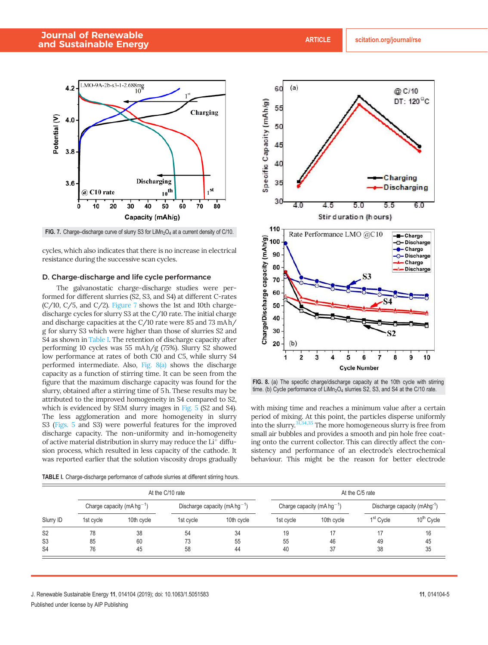

FIG. 7. Charge-discharge curve of slurry S3 for LiMn<sub>2</sub>O<sub>4</sub> at a current density of C/10.

cycles, which also indicates that there is no increase in electrical resistance during the successive scan cycles.

#### D. Charge-discharge and life cycle performance

The galvanostatic charge-discharge studies were performed for different slurries (S2, S3, and S4) at different C-rates  $(C/10, C/5,$  and  $C/2$ ). Figure 7 shows the 1st and 10th chargedischarge cycles for slurry S3 at the C/10 rate. The initial charge and discharge capacities at the C/10 rate were 85 and 73 mA h/ g for slurry S3 which were higher than those of slurries S2 and S4 as shown in Table I. The retention of discharge capacity after performing 10 cycles was 55 mA h/g (75%). Slurry S2 showed low performance at rates of both C10 and C5, while slurry S4 performed intermediate. Also, Fig. 8(a) shows the discharge capacity as a function of stirring time. It can be seen from the figure that the maximum discharge capacity was found for the slurry, obtained after a stirring time of 5 h. These results may be attributed to the improved homogeneity in S4 compared to S2, which is evidenced by SEM slurry images in Fig. 5 (S2 and S4). The less agglomeration and more homogeneity in slurry S3 (Figs. 5 and S3) were powerful features for the improved discharge capacity. The non-uniformity and in-homogeneity of active material distribution in slurry may reduce the  $Li<sup>+</sup>$  diffusion process, which resulted in less capacity of the cathode. It was reported earlier that the solution viscosity drops gradually

Charge/Discharge capacity (mAh/g) 60 50 40 30 20 (b 1  $\overline{a}$ 3 5 6 8 9 10 **Cycle Number** 

FIG. 8. (a) The specific charge/discharge capacity at the 10th cycle with stirring time. (b) Cycle performance of  $Lim<sub>2</sub>O<sub>4</sub>$  slurries S2, S3, and S4 at the C/10 rate.

with mixing time and reaches a minimum value after a certain period of mixing. At this point, the particles disperse uniformly into the slurry.31,34,35 The more homogeneous slurry is free from small air bubbles and provides a smooth and pin hole free coating onto the current collector. This can directly affect the consistency and performance of an electrode's electrochemical behaviour. This might be the reason for better electrode

|                                                    | At the C/10 rate                       |                |                                           |                | At the C/5 rate                        |            |                                          |                        |
|----------------------------------------------------|----------------------------------------|----------------|-------------------------------------------|----------------|----------------------------------------|------------|------------------------------------------|------------------------|
|                                                    | Charge capacity (mA hg <sup>-1</sup> ) |                | Discharge capacity (mA hg <sup>-1</sup> ) |                | Charge capacity (mA hg <sup>-1</sup> ) |            | Discharge capacity (mAhg <sup>-1</sup> ) |                        |
| Slurry ID                                          | 1st cycle                              | 10th cycle     | 1st cycle                                 | 10th cycle     | 1st cycle                              | 10th cycle | 1 <sup>st</sup> Cycle                    | 10 <sup>th</sup> Cycle |
| S <sub>2</sub><br>S <sub>3</sub><br>S <sub>4</sub> | 78<br>85<br>76                         | 38<br>60<br>45 | 54<br>73<br>58                            | 34<br>55<br>44 | 19<br>55<br>40                         | 46<br>37   | 49<br>38                                 | 16<br>45<br>35         |

TABLE I. Charge-discharge performance of cathode slurries at different stirring hours.

J. Renewable Sustainable Energy 11, 014104 (2019); doi: 10.1063/1.5051583 11, 01404-5 Published under license by AIP Publishing



@ C/10 DT: 120°C

Charging

55

**Discharging** 

-Charge

**D-Discharge e-Charge** 

O-Discharge Charge

**Discharge** 

6.0

 $(a)$ 

60

55

50

45

40

35

30

110

100

90

80

70

40

45

Rate Performance LMO @C10

50

Stir duration (hours)

Specific Capacity (mAh/g)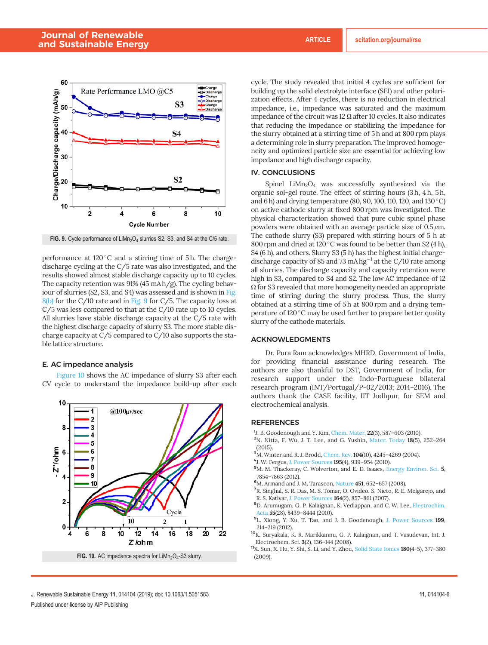

FIG. 9. Cycle performance of  $LiMn<sub>2</sub>O<sub>4</sub>$  slurries S2, S3, and S4 at the C/5 rate.

performance at 120 °C and a stirring time of 5h. The chargedischarge cycling at the C/5 rate was also investigated, and the results showed almost stable discharge capacity up to 10 cycles. The capacity retention was 91% (45 mA h/g). The cycling behaviour of slurries (S2, S3, and S4) was assessed and is shown in Fig.  $8(b)$  for the C/10 rate and in Fig. 9 for C/5. The capacity loss at C/5 was less compared to that at the C/10 rate up to 10 cycles. All slurries have stable discharge capacity at the C/5 rate with the highest discharge capacity of slurry S3. The more stable discharge capacity at C/5 compared to C/10 also supports the stable lattice structure.

### E. AC impedance analysis

Figure 10 shows the AC impedance of slurry S3 after each CV cycle to understand the impedance build-up after each



cycle. The study revealed that initial 4 cycles are sufficient for building up the solid electrolyte interface (SEI) and other polarization effects. After 4 cycles, there is no reduction in electrical impedance, i.e., impedance was saturated and the maximum impedance of the circuit was 12  $\Omega$  after 10 cycles. It also indicates that reducing the impedance or stabilizing the impedance for the slurry obtained at a stirring time of 5 h and at 800 rpm plays a determining role in slurry preparation. The improved homogeneity and optimized particle size are essential for achieving low impedance and high discharge capacity.

## IV. CONCLUSIONS

Spinel  $LiMn<sub>2</sub>O<sub>4</sub>$  was successfully synthesized via the organic sol-gel route. The effect of stirring hours (3 h, 4 h, 5 h, and 6 h) and drying temperature (80, 90, 100, 110, 120, and 130 °C) on active cathode slurry at fixed 800 rpm was investigated. The physical characterization showed that pure cubic spinel phase powders were obtained with an average particle size of  $0.5 \mu m$ . The cathode slurry (S3) prepared with stirring hours of 5 h at 800 rpm and dried at 120 °C was found to be better than S2 (4 h), S4 (6 h), and others. Slurry S3 (5 h) has the highest initial chargedischarge capacity of 85 and 73 mA hg<sup>-1</sup> at the C/10 rate among all slurries. The discharge capacity and capacity retention were high in S3, compared to S4 and S2. The low AC impedance of 12  $\Omega$  for S3 revealed that more homogeneity needed an appropriate time of stirring during the slurry process. Thus, the slurry obtained at a stirring time of 5 h at 800 rpm and a drying temperature of 120 °C may be used further to prepare better quality slurry of the cathode materials.

## ACKNOWLEDGMENTS

Dr. Pura Ram acknowledges MHRD, Government of India, for providing financial assistance during research. The authors are also thankful to DST, Government of India, for research support under the Indo-Portuguese bilateral research program (INT/Portugal/P-02/2013; 2014–2016). The authors thank the CASE facility, IIT Jodhpur, for SEM and electrochemical analysis.

## REFERENCES

- <sup>1</sup>J. B. Goodenough and Y. Kim, Chem. Mater. 22(3), 587-603 (2010).
- <sup>2</sup>N. Nitta, F. Wu, J. T. Lee, and G. Yushin, Mater. Today 18(5), 252–264 (2015).
- <sup>3</sup>M. Winter and R. J. Brodd, Chem. Rev. **104**(10), 4245-4269 (2004).
- 4 J. W. Fergus, J. Power Sources 195(4), 939–954 (2010).
- <sup>5</sup>M. M. Thackeray, C. Wolverton, and E. D. Isaacs, Energy Environ. Sci. 5, 7854–7863 (2012).
- <sup>6</sup>M. Armand and J. M. Tarascon, Nature 451, 652-657 (2008).
- <sup>7</sup>R. Singhal, S. R. Das, M. S. Tomar, O. Ovideo, S. Nieto, R. E. Melgarejo, and R. S. Katiyar, J. Power Sources 164(2), 857–861 (2007).
- <sup>8</sup>D. Arumugam, G. P. Kalaignan, K. Vediappan, and C. W. Lee, Electrochim. Acta 55(28), 8439–8444 (2010).
- <sup>9</sup>L. Xiong, Y. Xu, T. Tao, and J. B. Goodenough, J. Power Sources 199, 214–219 (2012).
- <sup>10</sup>K. Suryakala, K. R. Marikkannu, G. P. Kalaignan, and T. Vasudevan, Int. J. Electrochem. Sci. 3(2), 136–144 (2008).

<sup>11</sup>X. Sun, X. Hu, Y. Shi, S. Li, and Y. Zhou, Solid State Ionics 180(4-5), 377–380 (2009).

J. Renewable Sustainable Energy 11, 014104 (2019); doi: 10.1063/1.5051583 11, 01404-6 Published under license by AIP Publishing